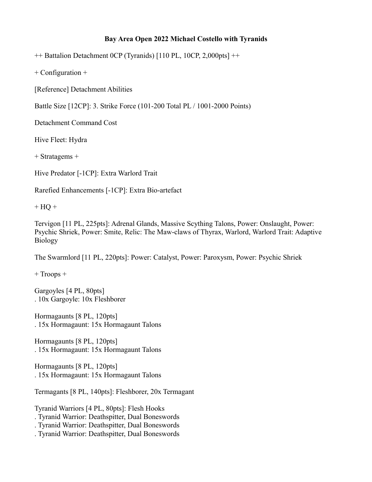## **Bay Area Open 2022 Michael Costello with Tyranids**

++ Battalion Detachment 0CP (Tyranids) [110 PL, 10CP, 2,000pts] ++

+ Configuration +

[Reference] Detachment Abilities

Battle Size [12CP]: 3. Strike Force (101-200 Total PL / 1001-2000 Points)

Detachment Command Cost

Hive Fleet: Hydra

+ Stratagems +

Hive Predator [-1CP]: Extra Warlord Trait

Rarefied Enhancements [-1CP]: Extra Bio-artefact

 $+$  HQ  $+$ 

Tervigon [11 PL, 225pts]: Adrenal Glands, Massive Scything Talons, Power: Onslaught, Power: Psychic Shriek, Power: Smite, Relic: The Maw-claws of Thyrax, Warlord, Warlord Trait: Adaptive Biology

The Swarmlord [11 PL, 220pts]: Power: Catalyst, Power: Paroxysm, Power: Psychic Shriek

+ Troops +

Gargoyles [4 PL, 80pts] . 10x Gargoyle: 10x Fleshborer

Hormagaunts [8 PL, 120pts] . 15x Hormagaunt: 15x Hormagaunt Talons

Hormagaunts [8 PL, 120pts] . 15x Hormagaunt: 15x Hormagaunt Talons

Hormagaunts [8 PL, 120pts] . 15x Hormagaunt: 15x Hormagaunt Talons

Termagants [8 PL, 140pts]: Fleshborer, 20x Termagant

Tyranid Warriors [4 PL, 80pts]: Flesh Hooks . Tyranid Warrior: Deathspitter, Dual Boneswords . Tyranid Warrior: Deathspitter, Dual Boneswords . Tyranid Warrior: Deathspitter, Dual Boneswords